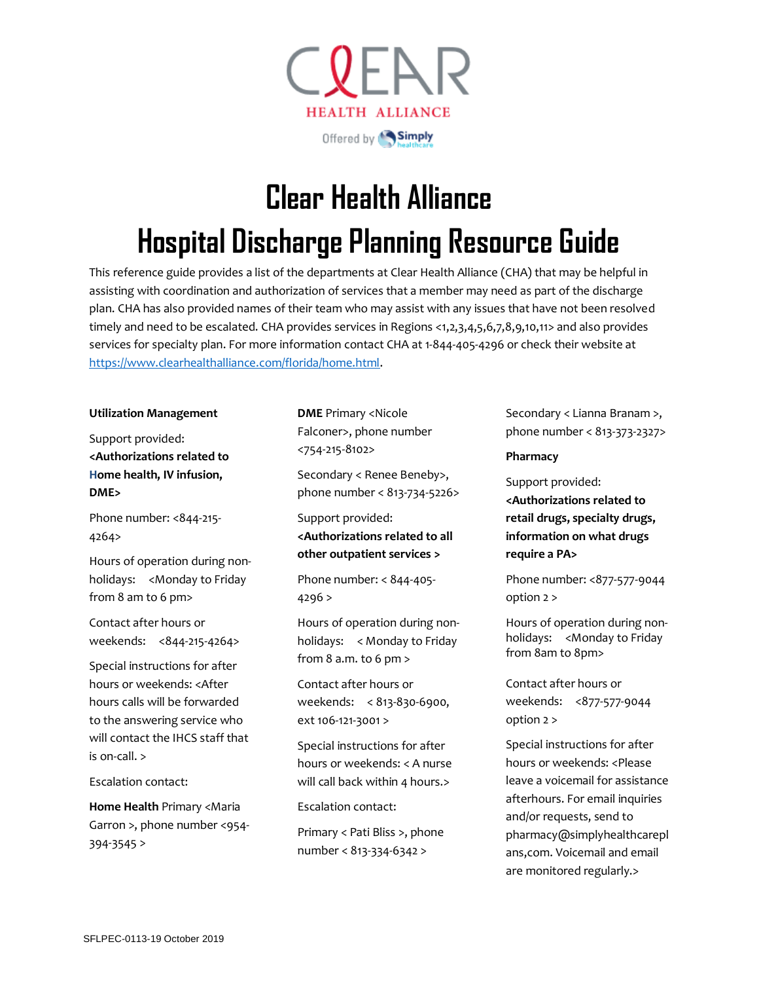

# **Clear Health Alliance Hospital Discharge Planning Resource Guide**

This reference guide provides a list of the departments at Clear Health Alliance (CHA) that may be helpful in assisting with coordination and authorization of services that a member may need as part of the discharge plan. CHA has also provided names of their team who may assist with any issues that have not been resolved timely and need to be escalated. CHA provides services in Regions <1,2,3,4,5,6,7,8,9,10,11> and also provides services for specialty plan. For more information contact CHA at 1-844-405-4296 or check their website at [https://www.clearhealthalliance.com/florida/home.html.](https://www.clearhealthalliance.com/florida/home.html)

#### **Utilization Management**

Support provided: **<Authorizations related to Home health, IV infusion, DME>**

Phone number: <844-215-4264>

Hours of operation during nonholidays: <Monday to Friday from 8 am to 6 pm>

Contact after hours or weekends: <844-215-4264>

Special instructions for after hours or weekends: <After hours calls will be forwarded to the answering service who will contact the IHCS staff that is on-call. >

Escalation contact:

**Home Health** Primary <Maria Garron >, phone number <954- 394-3545 >

**DME** Primary <Nicole Falconer>, phone number <754-215-8102>

Secondary < Renee Beneby>, phone number < 813-734-5226>

Support provided: **<Authorizations related to all other outpatient services >**

Phone number: < 844-405- 4296 >

Hours of operation during nonholidays: < Monday to Friday from  $8$  a.m. to  $6$  pm  $>$ 

Contact after hours or weekends: < 813-830-6900, ext 106-121-3001 >

Special instructions for after hours or weekends: < A nurse will call back within 4 hours.>

Escalation contact:

Primary < Pati Bliss >, phone number < 813-334-6342 >

Secondary < Lianna Branam >, phone number < 813-373-2327>

## **Pharmacy**

Support provided: **<Authorizations related to retail drugs, specialty drugs, information on what drugs require a PA>**

Phone number: <877-577-9044 option 2 >

Hours of operation during nonholidays: <Monday to Friday from 8am to 8pm>

Contact after hours or weekends: <877-577-9044 option 2 >

Special instructions for after hours or weekends: <Please leave a voicemail for assistance afterhours. For email inquiries and/or requests, send to pharmacy@simplyhealthcarepl ans,com. Voicemail and email are monitored regularly.>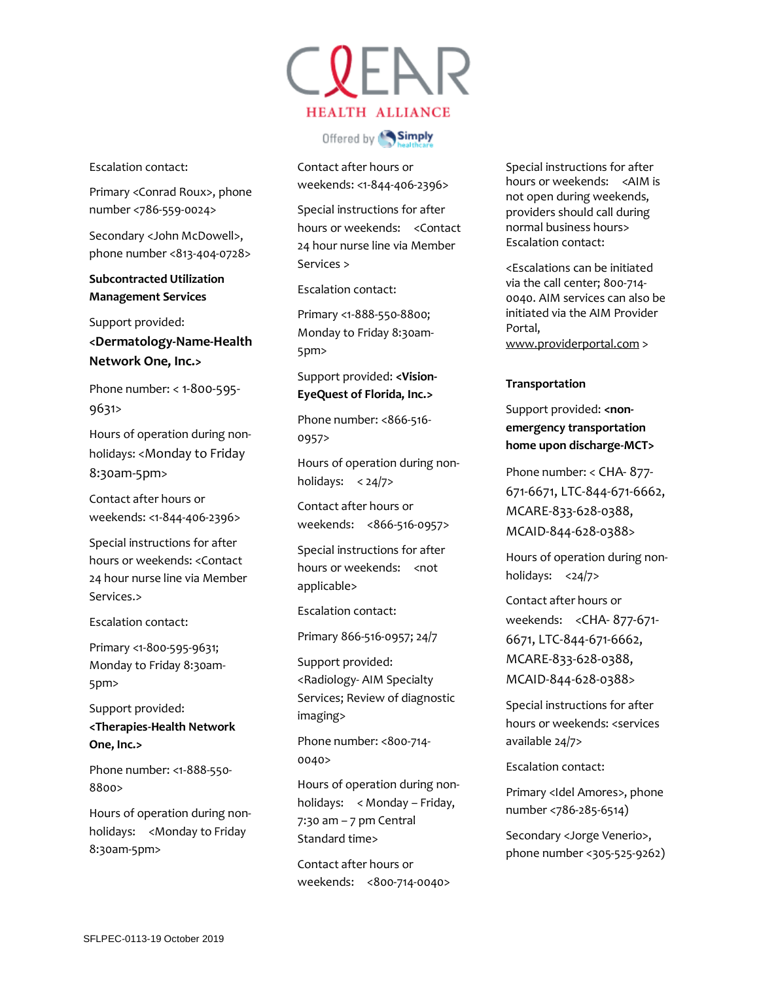Escalation contact:

Primary <Conrad Roux>, phone number <786-559-0024>

Secondary <John McDowell>, phone number <813-404-0728>

**Subcontracted Utilization Management Services** 

Support provided: **<Dermatology-Name-Health Network One, Inc.>**

Phone number: < 1-800-595- 9631>

Hours of operation during nonholidays: <Monday to Friday 8:30am-5pm>

Contact after hours or weekends: <1-844-406-2396>

Special instructions for after hours or weekends: <Contact 24 hour nurse line via Member Services.>

Escalation contact:

Primary <1-800-595-9631; Monday to Friday 8:30am-5pm>

Support provided: **<Therapies-Health Network One, Inc.>**

Phone number: <1-888-550- 8800>

Hours of operation during nonholidays: <Monday to Friday 8:30am-5pm>

CREAR **HEALTH ALLIANCE** 

Offered by **Simply** 

Contact after hours or weekends: <1-844-406-2396>

Special instructions for after hours or weekends: <Contact 24 hour nurse line via Member Services >

Escalation contact:

Primary <1-888-550-8800; Monday to Friday 8:30am-5pm>

Support provided: **<Vision-EyeQuest of Florida, Inc.>**

Phone number: <866-516- 0957>

Hours of operation during nonholidays:  $< 24/7$ 

Contact after hours or weekends: <866-516-0957>

Special instructions for after hours or weekends: < not applicable>

Escalation contact:

Primary 866-516-0957; 24/7

Support provided: <Radiology- AIM Specialty Services; Review of diagnostic imaging>

Phone number: <800-714- 0040>

Hours of operation during nonholidays: < Monday – Friday,  $7:30$  am  $-7$  pm Central Standard time>

Contact after hours or weekends: <800-714-0040> Special instructions for after hours or weekends: <AIM is not open during weekends, providers should call during normal business hours> Escalation contact:

<Escalations can be initiated via the call center; 800-714- 0040. AIM services can also be initiated via the AIM Provider Portal, [www.providerportal.com](https://urldefense.proofpoint.com/v2/url?u=http-3A__www.providerportal.com&d=DwMFAg&c=A-GX6P9ovB1qTBp7iQve2Q&r=1pA3N-sQTHOoWSCADzhBgv7lhCVRKwFB2K82f2C_a4zSWD8gWgV-aoGdfkOBD6V_&m=EPW_9zHSWpbfuJ5RVgslVI0kTX4QOw2AEnjXua-K_HQ&s=Q_5176b3RcR7o57Zsrq0NM89xfpbaqxCXNJXOa6vCD8&e=) >

## **Transportation**

Support provided: <non**emergency transportation home upon discharge-MCT>**

Phone number: < CHA- 877- 671-6671, LTC-844-671-6662, MCARE-833-628-0388, MCAID-844-628-0388>

Hours of operation during nonholidays: <24/7>

Contact after hours or weekends: <CHA- 877-671- 6671, LTC-844-671-6662, MCARE-833-628-0388, MCAID-844-628-0388>

Special instructions for after hours or weekends: <services available 24/7>

Escalation contact:

Primary <Idel Amores>, phone number <786-285-6514)

Secondary <Jorge Venerio>, phone number <305-525-9262)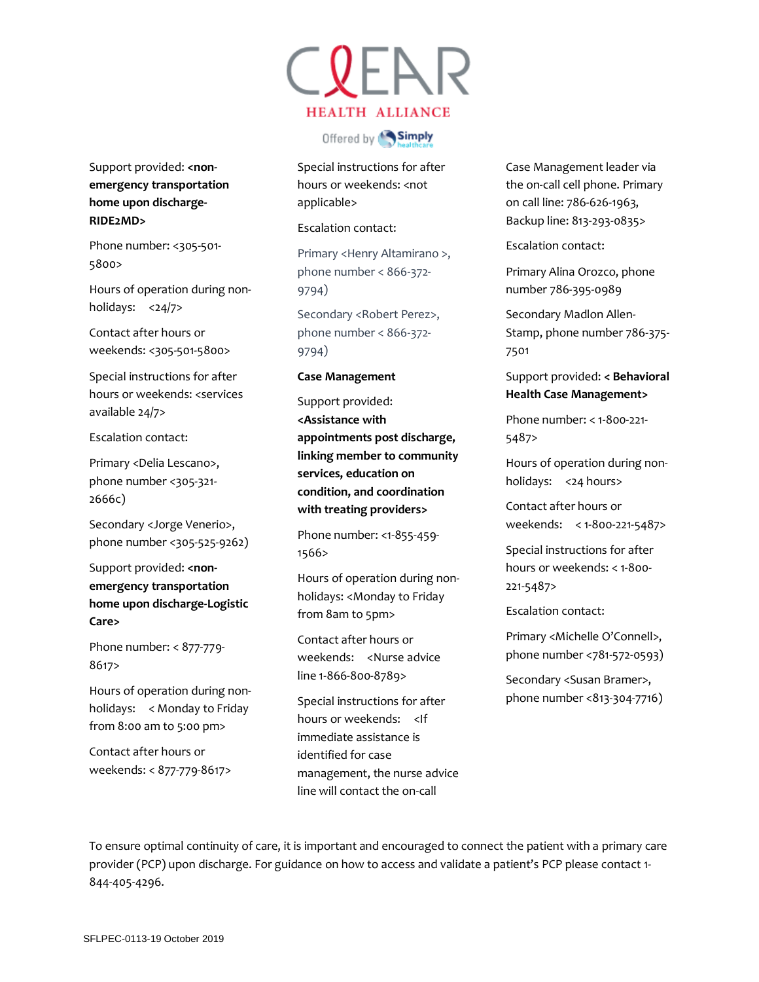Support provided: <non**emergency transportation home upon discharge-RIDE2MD>**

Phone number: <305-501-5800>

Hours of operation during nonholidays: <24/7>

Contact after hours or weekends: <305-501-5800>

Special instructions for after hours or weekends: <services available 24/7>

Escalation contact:

Primary <Delia Lescano>, phone number <305-321- 2666c)

Secondary <Jorge Venerio>, phone number <305-525-9262)

Support provided: <non**emergency transportation home upon discharge-Logistic Care>**

Phone number: < 877-779- 8617>

Hours of operation during nonholidays: < Monday to Friday from 8:00 am to 5:00 pm>

Contact after hours or weekends: < 877-779-8617> CREAR **HEALTH ALLIANCE** 

Offered by Simply

Special instructions for after hours or weekends: <not applicable>

Escalation contact:

Primary <Henry Altamirano >, phone number < 866-372- 9794)

Secondary <Robert Perez>, phone number < 866-372- 9794)

#### **Case Management**

Support provided: **<Assistance with appointments post discharge, linking member to community services, education on condition, and coordination with treating providers>**

Phone number: <1-855-459- 1566>

Hours of operation during nonholidays: <Monday to Friday from 8am to 5pm>

Contact after hours or weekends: <Nurse advice line 1-866-800-8789>

Special instructions for after hours or weekends: <If immediate assistance is identified for case management, the nurse advice line will contact the on-call

Case Management leader via the on-call cell phone. Primary on call line: 786-626-1963, Backup line: 813-293-0835>

Escalation contact:

Primary Alina Orozco, phone number 786-395-0989

Secondary Madlon Allen-Stamp, phone number 786-375- 7501

Support provided: **< Behavioral Health Case Management>**

Phone number: < 1-800-221- 5487>

Hours of operation during nonholidays: <24 hours>

Contact after hours or weekends: < 1-800-221-5487>

Special instructions for after hours or weekends: < 1-800- 221-5487>

Escalation contact:

Primary <Michelle O'Connell>, phone number <781-572-0593)

Secondary <Susan Bramer>, phone number <813-304-7716)

To ensure optimal continuity of care, it is important and encouraged to connect the patient with a primary care provider (PCP) upon discharge. For guidance on how to access and validate a patient's PCP please contact 1- 844-405-4296.